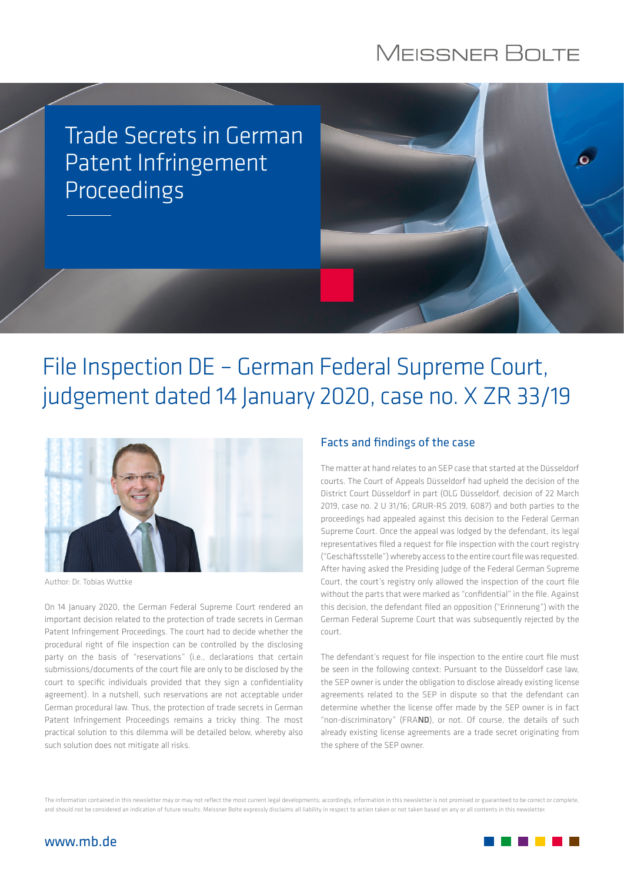## **MEISSNER BOLTE**

Trade Secrets in German Patent Infringement  $\bullet$ Proceedings

# File Inspection DE – German Federal Supreme Court, judgement dated 14 January 2020, case no. X ZR 33/19



Author: Dr. Tobias Wuttke

On 14 January 2020, the German Federal Supreme Court rendered an important decision related to the protection of trade secrets in German Patent Infringement Proceedings. The court had to decide whether the procedural right of file inspection can be controlled by the disclosing party on the basis of "reservations" (i.e., declarations that certain submissions/documents of the court file are only to be disclosed by the court to specific individuals provided that they sign a confidentiality agreement). In a nutshell, such reservations are not acceptable under German procedural law. Thus, the protection of trade secrets in German Patent Infringement Proceedings remains a tricky thing. The most practical solution to this dilemma will be detailed below, whereby also such solution does not mitigate all risks.

### Facts and findings of the case

The matter at hand relates to an SEP case that started at the Düsseldorf courts. The Court of Appeals Düsseldorf had upheld the decision of the District Court Düsseldorf in part (OLG Düsseldorf, decision of 22 March 2019, case no. 2 U 31/16; GRUR-RS 2019, 6087) and both parties to the proceedings had appealed against this decision to the Federal German Supreme Court. Once the appeal was lodged by the defendant, its legal representatives filed a request for file inspection with the court registry ("Geschäftsstelle") whereby access to the entire court file was requested. After having asked the Presiding Judge of the Federal German Supreme Court, the court's registry only allowed the inspection of the court file without the parts that were marked as "confidential" in the file. Against this decision, the defendant filed an opposition ("Erinnerung") with the German Federal Supreme Court that was subsequently rejected by the court.

The defendant's request for file inspection to the entire court file must be seen in the following context: Pursuant to the Düsseldorf case law, the SEP owner is under the obligation to disclose already existing license agreements related to the SEP in dispute so that the defendant can determine whether the license offer made by the SEP owner is in fact "non-discriminatory" (FRAND), or not. Of course, the details of such already existing license agreements are a trade secret originating from the sphere of the SEP owner.

The information contained in this newsletter may or may not reflect the most current legal developments; accordingly, information in this newsletter is not promised or guaranteed to be correct or complete, and should not be considered an indication of future results. Meissner Bolte expressly disclaims all liability in respect to action taken or not taken based on any or all contents in this newsletter.